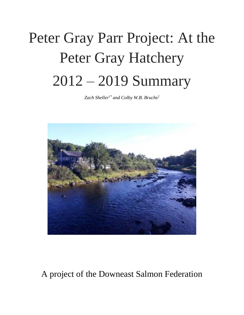# Peter Gray Parr Project: At the Peter Gray Hatchery 2012 – 2019 Summary

*Zach Sheller1\* and Colby W.B. Bruchs<sup>2</sup>*



A project of the Downeast Salmon Federation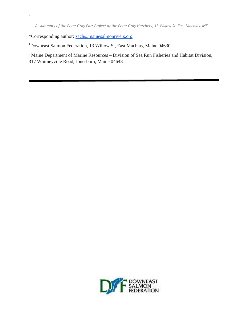\*Corresponding author: [zach@mainesalmonrivers.org](mailto:zach@mainesalmonrivers.org) 

<sup>1</sup>Downeast Salmon Federation, 13 Willow St, East Machias, Maine 04630

<sup>2</sup> Maine Department of Marine Resources – Division of Sea Run Fisheries and Habitat Division, 317 Whitneyville Road, Jonesboro, Maine 04648

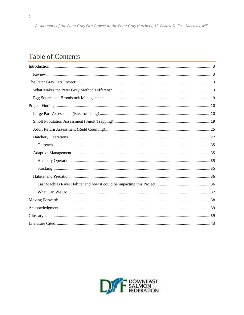# **Table of Contents**

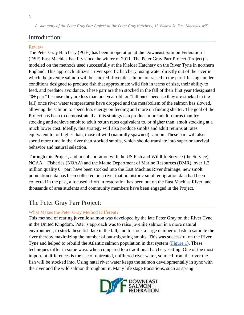# <span id="page-3-0"></span>Introduction:

#### <span id="page-3-1"></span>Review

The Peter Gray Hatchery (PGH) has been in operation at the Downeast Salmon Federation's (DSF) East Machias Facility since the winter of 2011. The Peter Gray Parr Project (Project) is modeled on the methods used successfully at the Kielder Hatchery on the River Tyne in northern England. This approach utilizes a river specific hatchery, using water directly out of the river in which the juvenile salmon will be stocked. Juvenile salmon are raised to the parr life stage under conditions designed to produce fish that approximate wild fish in terms of size, their ability to feed, and predator avoidance. These parr are then stocked in the fall of their first year (designated "0+ parr" because they are less than one year old, or "fall parr" because they are stocked in the fall) once river water temperatures have dropped and the metabolism of the salmon has slowed, allowing the salmon to spend less energy on feeding and more on finding shelter. The goal of the Project has been to demonstrate that this strategy can produce more adult returns than fry stocking and achieve smolt to adult return rates equivalent to, or higher than, smolt stocking at a much lower cost. Ideally, this strategy will also produce smolts and adult returns at rates equivalent to, or higher than, those of wild (naturally spawned) salmon. These parr will also spend more time in the river than stocked smolts, which should translate into superior survival behavior and natural selection.

Through this Project, and in collaboration with the US Fish and Wildlife Service (the Service), NOAA – Fisheries (NOAA) and the Maine Department of Marine Resources (DMR), over 1.2 million quality 0+ parr have been stocked into the East Machias River drainage, new smolt population data has been collected on a river that no historic smolt emigration data had been collected in the past, a focused effort in restoration has been put on the East Machias River, and thousands of area students and community members have been engaged in the Project.

# <span id="page-3-2"></span>The Peter Gray Parr Project:

#### <span id="page-3-3"></span>What Makes the Peter Gray Method Different?

This method of rearing juvenile salmon was developed by the late Peter Gray on the River Tyne in the United Kingdom. Peter's approach was to raise juvenile salmon in a more natural environment, to stock these fish late in the fall, and to stock a large number of fish to saturate the river thereby maximizing the number of out-migrating smolts. This was successful on the River Tyne and helped to rebuild the Atlantic salmon population in that system [\(Figure 1\)](#page-5-0). These techniques differ in some ways when compared to a traditional hatchery setting. One of the most important differences is the use of untreated, unfiltered river water, sourced from the river the fish will be stocked into. Using natal river water keeps the salmon developmentally in sync with the river and the wild salmon throughout it. Many life stage transitions, such as spring

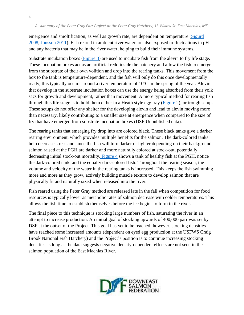emergence and smoltification, as well as growth rate, are dependent on temperature (Sigurd [2008,](#page-43-1) [Jonsson 2011\)](#page-44-0). Fish reared in ambient river water are also exposed to fluctuations in pH and any bacteria that may be in the river water, helping to build their immune systems.

Substrate incubation boxes [\(Figure 3\)](#page-6-0) are used to incubate fish from the alevin to fry life stage. These incubation boxes act as an artificial redd inside the hatchery and allow the fish to emerge from the substrate of their own volition and drop into the rearing tanks. This movement from the box to the tank is temperature-dependent, and the fish will only do this once developmentally ready; this typically occurs around a river temperature of  $10^{\circ}$ C in the spring of the year. Alevin that develop in the substrate incubation boxes can use the energy being absorbed from their yolk sacs for growth and development, rather than movement. A more typical method for rearing fish through this life stage is to hold them either in a Heath style egg tray [\(Figure 2\)](#page-5-1), or trough setup. These setups do not offer any shelter for the developing alevin and lead to alevin moving more than necessary, likely contributing to a smaller size at emergence when compared to the size of fry that have emerged from substrate incubation boxes (DSF Unpublished data).

The rearing tanks that emerging fry drop into are colored black. These black tanks give a darker rearing environment, which provides multiple benefits for the salmon. The dark-colored tanks help decrease stress and since the fish will turn darker or lighter depending on their background, salmon raised at the PGH are darker and more naturally colored at stock-out, potentially decreasing initial stock-out mortality[. Figure 4](#page-6-1) shows a tank of healthy fish at the PGH, notice the dark-colored tank, and the equally dark-colored fish. Throughout the rearing season, the volume and velocity of the water in the rearing tanks is increased. This keeps the fish swimming more and more as they grow, actively building muscle texture to develop salmon that are physically fit and naturally sized when released into the river.

Fish reared using the Peter Gray method are released late in the fall when competition for food resources is typically lower as metabolic rates of salmon decrease with colder temperatures. This allows the fish time to establish themselves before the ice begins to form in the river.

The final piece to this technique is stocking large numbers of fish, saturating the river in an attempt to increase production. An initial goal of stocking upwards of 400,000 parr was set by DSF at the outset of the Project. This goal has yet to be reached; however, stocking densities have reached some increased amounts (dependent on eyed egg production at the USFWS Craig Brook National Fish Hatchery) and the Project's position is to continue increasing stocking densities as long as the data suggests negative density-dependent effects are not seen in the salmon population of the East Machias River.

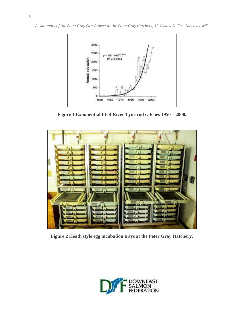<span id="page-5-0"></span>

**Figure 1 Exponential fit of River Tyne rod catches 1950 – 2000.** 

<span id="page-5-1"></span>

**Figure 2 Heath style egg incubation trays at the Peter Gray Hatchery.** 

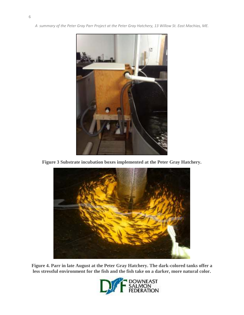<span id="page-6-0"></span>

<span id="page-6-1"></span>**Figure 3 Substrate incubation boxes implemented at the Peter Gray Hatchery.** 



**Figure 4. Parr in late August at the Peter Gray Hatchery. The dark-colored tanks offer a less stressful environment for the fish and the fish take on a darker, more natural color.** 

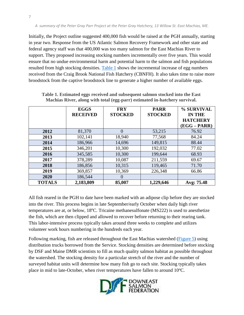Initially, the Project outline suggested 400,000 fish would be raised at the PGH annually, starting in year two. Response from the US Atlantic Salmon Recovery Framework and other state and federal agency staff was that 400,000 was too many salmon for the East Machias River to support. They proposed increasing stocking numbers incrementally over five years. This would ensure that no undue environmental harm and potential harm to the salmon and fish populations resulted from high stocking densities. [Table 1](#page-11-0) shows the incremental increase of egg numbers received from the Craig Brook National Fish Hatchery (CBNFH). It also takes time to raise more broodstock from the captive broodstock line to generate a higher number of available eggs.

|               | <b>EGGS</b><br><b>RECEIVED</b> | <b>FRY</b><br><b>STOCKED</b> | <b>PARR</b><br><b>STOCKED</b> | % SURVIVAL<br><b>IN THE</b><br><b>HATCHERY</b><br>$(EGG - PARR)$ |
|---------------|--------------------------------|------------------------------|-------------------------------|------------------------------------------------------------------|
| 2012          | 81,370                         | $\Omega$                     | 53,215                        | 76.92                                                            |
| 2013          | 102,141                        | 18,940                       | 77,568                        | 84.24                                                            |
| 2014          | 186,966                        | 14,696                       | 149,815                       | 88.44                                                            |
| 2015          | 346,201                        | 10,300                       | 192,032                       | 77.02                                                            |
| 2016          | 345,585                        | 10,300                       | 199,644                       | 68.93                                                            |
| 2017          | 378,289                        | 10,087                       | 211,559                       | 69.67                                                            |
| 2018          | 186,856                        | 10,315                       | 119,465                       | 71.70                                                            |
| 2019          | 369,857                        | 10,369                       | 226,348                       | 66.86                                                            |
| 2020          | 186,544                        | $\Omega$                     |                               |                                                                  |
| <b>TOTALS</b> | 2,183,809                      | 85,007                       | 1,229,646                     | Avg: 75.48                                                       |

**Table 1. Estimated eggs received and subsequent salmon stocked into the East Machias River, along with total (egg-parr) estimated in-hatchery survival.** 

All fish reared in the PGH to date have been marked with an adipose clip before they are stocked into the river. This process begins in late September/early October when daily high river temperatures are at, or below,  $18^{\circ}$ C. Tricaine methanesulfonate (MS222) is used to anesthetize the fish, which are then clipped and allowed to recover before returning to their rearing tank. This labor-intensive process typically takes around three weeks to complete and utilizes volunteer work hours numbering in the hundreds each year.

Following marking, fish are released throughout the East Machias watershed [\(Figure 5\)](#page-8-0) using distribution trucks borrowed from the Service. Stocking densities are determined before stocking by DSF and Maine DMR scientists to fill as much quality salmon habitat as possible throughout the watershed. The stocking density for a particular stretch of the river and the number of surveyed habitat units will determine how many fish go to each site. Stocking typically takes place in mid to late-October, when river temperatures have fallen to around  $10^{\circ}$ C.

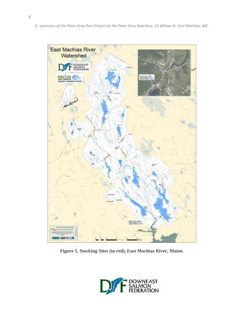<span id="page-8-0"></span>

**Figure 5. Stocking Sites (in red), East Machias River, Maine.** 

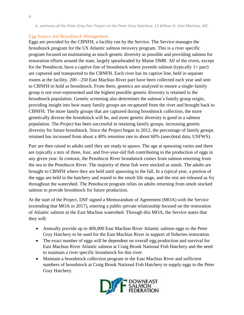#### <span id="page-9-0"></span>Egg Source and Broodstock Management

Eggs are provided by the CBNFH, a facility run by the Service. The Service manages the broodstock program for the US Atlantic salmon recovery program. This is a river specific program focused on maintaining as much genetic diversity as possible and providing salmon for restoration efforts around the state, largely spearheaded by Maine DMR. All of the rivers, except for the Penobscot, have a captive line of broodstock where juvenile salmon (typically  $1+$  parr) are captured and transported to the CBNFH. Each river has its captive line, held in separate rooms at the facility. 200 - 250 East Machias River parr have been collected each year and sent to CBNFH to hold as broodstock. From there, genetics are analyzed to ensure a single-family group is not over-represented and the highest possible genetic diversity is retained in the broodstock population. Genetic screening also determines the salmon's family group origin, providing insight into how many family groups are recaptured from the river and brought back to CBNFH. The more family groups that are captured during broodstock collection, the more genetically diverse the broodstock will be, and more genetic diversity is good in a salmon population. The Project has been successful in retaining family groups, increasing genetic diversity for future broodstock. Since the Project began in 2012, the percentage of family groups retained has increased from about a 40% retention rate to about 60% (anecdotal data, USFWS).

Parr are then raised to adults until they are ready to spawn. The age at spawning varies and there are typically a mix of three, four, and five-year-old fish contributing to the production of eggs in any given year. In contrast, the Penobscot River broodstock comes from salmon returning from the sea to the Penobscot River. The majority of these fish were stocked as smolt. The adults are brought to CBNFH where they are held until spawning in the fall. In a typical year, a portion of the eggs are held in the hatchery and reared to the smolt life stage, and the rest are released as fry throughout the watershed. The Penobscot program relies on adults returning from smolt stocked salmon to provide broodstock for future production.

At the start of the Project, DSF signed a Memorandum of Agreement (MOA) with the Service (extending that MOA in 2017), entering a public-private relationship focused on the restoration of Atlantic salmon in the East Machias watershed. Through this MOA, the Service states that they will:

- Annually provide up to 400,000 East Machias River Atlantic salmon eggs to the Peter Gray Hatchery to be used for the East Machias River in support of fisheries restoration.
- The exact number of eggs will be dependent on overall egg production and survival for East Machias River Atlantic salmon at Craig Brook National Fish Hatchery and the need to maintain a river specific broodstock for this river.
- Maintain a broodstock collection program in the East Machias River and sufficient numbers of broodstock at Craig Brook National Fish Hatchery to supply eggs to the Peter Gray Hatchery.

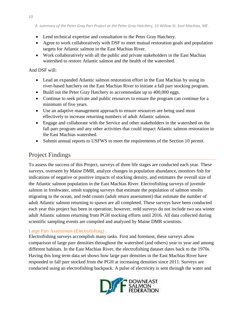- Lend technical expertise and consultation to the Peter Gray Hatchery.
- Agree to work collaboratively with DSF to meet mutual restoration goals and population targets for Atlantic salmon in the East Machias River.
- Work collaboratively with all the public and private stakeholders in the East Machias watershed to restore Atlantic salmon and the health of the watershed.

## And DSF will:

- Lead an expanded Atlantic salmon restoration effort in the East Machias by using its river-based hatchery on the East Machias River to initiate a fall parr stocking program.
- Build out the Peter Gray Hatchery to accommodate up to 400,000 eggs.
- Continue to seek private and public resources to ensure the program can continue for a minimum of five years.
- Use an adaptive management approach to ensure resources are being used most effectively to increase returning numbers of adult Atlantic salmon.
- Engage and collaborate with the Service and other stakeholders in the watershed on the fall parr program and any other activities that could impact Atlantic salmon restoration in the East Machias watershed.
- Submit annual reports to USFWS to meet the requirements of the Section 10 permit.

# <span id="page-10-0"></span>Project Findings

To assess the success of this Project, surveys of three life stages are conducted each year. These surveys, overseen by Maine DMR, analyze changes in population abundance, monitors fish for indications of negative or positive impacts of stocking density, and estimates the overall size of the Atlantic salmon population in the East Machias River. Electrofishing surveys of juvenile salmon in freshwater, smolt trapping surveys that estimate the population of salmon smolts migrating to the ocean, and redd counts (adult return assessment) that estimate the number of adult Atlantic salmon returning to spawn are all completed. These surveys have been conducted each year this project has been in operation; however, redd surveys do not include two sea winter adult Atlantic salmon returning from PGH stocking efforts until 2016. All data collected during scientific sampling events are compiled and analyzed by Maine DMR scientists.

## <span id="page-10-1"></span>Large Parr Assessment (Electrofishing)

Electrofishing surveys accomplish many tasks. First and foremost, these surveys allow comparison of large parr densities throughout the watershed (and others) year to year and among different habitats. In the East Machias River, the electrofishing dataset dates back to the 1970s. Having this long term data set shows how large parr densities in the East Machias River have responded to fall parr stocked from the PGH at increasing densities since 2011. Surveys are conducted using an electrofishing backpack. A pulse of electricity is sent through the water and

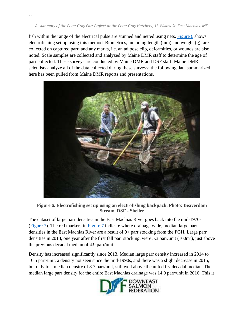fish within the range of the electrical pulse are stunned and netted using nets. [Figure 6](#page-11-0) shows electrofishing set up using this method. Biometrics, including length (mm) and weight (g), are collected on captured parr, and any marks, i.e. an adipose clip, deformities, or wounds are also noted. Scale samples are collected and analyzed by Maine DMR staff to determine the age of parr collected. These surveys are conducted by Maine DMR and DSF staff. Maine DMR scientists analyze all of the data collected during these surveys; the following data summarized here has been pulled from Maine DMR reports and presentations.



**Figure 6. Electrofishing set up using an electrofishing backpack. Photo: Beaverdam Stream, DSF - Sheller** 

<span id="page-11-0"></span>The dataset of large parr densities in the East Machias River goes back into the mid-1970s [\(Figure 7\)](#page-12-0). The red markers in [Figure 7](#page-12-0) indicate where drainage wide, median large parr densities in the East Machias River are a result of 0+ parr stocking from the PGH. Large parr densities in 2013, one year after the first fall parr stocking, were 5.3 parr/unit  $(100m^2)$ , just above the previous decadal median of 4.9 parr/unit.

Density has increased significantly since 2013. Median large parr density increased in 2014 to 10.5 parr/unit, a density not seen since the mid-1990s, and there was a slight decrease in 2015, but only to a median density of 8.7 parr/unit, still well above the unfed fry decadal median. The median large parr density for the entire East Machias drainage was 14.9 parr/unit in 2016. This is

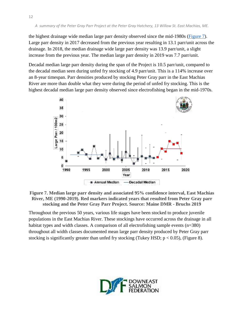the highest drainage wide median large parr density observed since the mid-1980s [\(Figure 7\)](#page-12-0). Large parr density in 2017 decreased from the previous year resulting in 13.1 parr/unit across the drainage. In 2018, the median drainage wide large parr density was 13.9 parr/unit, a slight increase from the previous year. The median large parr density in 2019 was 7.7 parr/unit.

Decadal median large parr density during the span of the Project is 10.5 parr/unit, compared to the decadal median seen during unfed fry stocking of 4.9 parr/unit. This is a 114% increase over an 8-year timespan. Parr densities produced by stocking Peter Gray parr in the East Machias River are more than double what they were during the period of unfed fry stocking. This is the highest decadal median large parr density observed since electrofishing began in the mid-1970s.



<span id="page-12-0"></span>**Figure 7. Median large parr density and associated 95% confidence interval, East Machias River, ME (1990-2019). Red markers indicated years that resulted from Peter Gray parr stocking and the Peter Gray Parr Project. Source: Maine DMR - Bruchs 2019** 

Throughout the previous 50 years, various life stages have been stocked to produce juvenile populations in the East Machias River. These stockings have occurred across the drainage in all habitat types and width classes. A comparison of all electrofishing sample events (n=380) throughout all width classes documented mean large parr density produced by Peter Gray parr stocking is significantly greater than unfed fry stocking (Tukey HSD;  $p < 0.05$ ), (Figure 8).

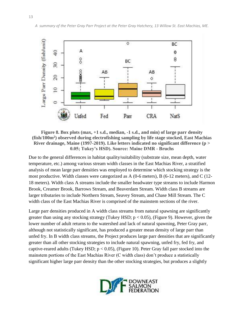

**Figure 8. Box plots (max, +1 s.d., median, -1 s.d., and min) of large parr density (fish/100m<sup>2</sup> ) observed during electrofishing sampling by life stage stocked, East Machias River drainage, Maine (1997-2019). Like letters indicated no significant difference (p > 0.05; Tukey's HSD). Source: Maine DMR - Bruchs** 

Due to the general differences in habitat quality/suitability (substrate size, mean depth, water temperature, etc.) among various stream width classes in the East Machias River, a stratified analysis of mean large parr densities was employed to determine which stocking strategy is the most productive. Width classes were categorized as A (0-6 meters), B (6-12 meters), and C (12- 18 meters). Width class A streams include the smaller headwater type streams to include Harmon Brook, Creamer Brook, Barrows Stream, and Beaverdam Stream. Width class B streams are larger tributaries to include Northern Stream, Seavey Stream, and Chase Mill Stream. The C width class of the East Machias River is comprised of the mainstem sections of the river.

Large parr densities produced in A width class streams from natural spawning are significantly greater than using any stocking strategy (Tukey HSD;  $p < 0.05$ ), (Figure 9). However, given the lower number of adult returns to the watershed and lack of natural spawning, Peter Gray parr, although not statistically significant, has produced a greater mean density of large parr than unfed fry. In B width class streams, the Project produces large parr densities that are significantly greater than all other stocking strategies to include natural spawning, unfed fry, fed fry, and captive-reared adults (Tukey HSD;  $p < 0.05$ ), (Figure 10). Peter Gray fall parr stocked into the mainstem portions of the East Machias River (C width class) don't produce a statistically significant higher large parr density than the other stocking strategies, but produces a slightly

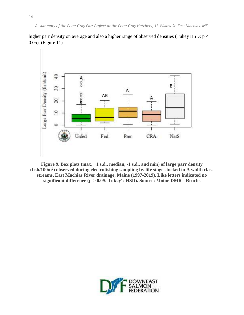



**Figure 9. Box plots (max, +1 s.d., median, -1 s.d., and min) of large parr density (fish/100m<sup>2</sup> ) observed during electrofishing sampling by life stage stocked in A width class streams, East Machias River drainage, Maine (1997-2019). Like letters indicated no significant difference (p > 0.05; Tukey's HSD). Source: Maine DMR - Bruchs** 

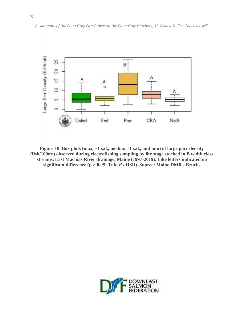

**Figure 10. Box plots (max, +1 s.d., median, -1 s.d., and min) of large parr density (fish/100m<sup>2</sup> ) observed during electrofishing sampling by life stage stocked in B width class streams, East Machias River drainage, Maine (1997-2019). Like letters indicated no significant difference (p > 0.05; Tukey's HSD). Source: Maine DMR - Bruchs** 

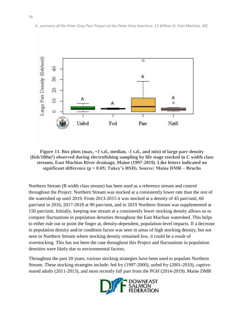

**Figure 11. Box plots (max, +1 s.d., median, -1 s.d., and min) of large parr density (fish/100m<sup>2</sup> ) observed during electrofishing sampling by life stage stocked in C width class streams, East Machias River drainage, Maine (1997-2019). Like letters indicated no significant difference (p > 0.05; Tukey's HSD). Source: Maine DMR – Bruchs** 

Northern Stream (B width class stream) has been used as a reference stream and control throughout the Project. Northern Stream was stocked at a consistently lower rate than the rest of the watershed up until 2019. From 2013-2015 it was stocked at a density of 45 parr/unit, 60 parr/unit in 2016, 2017-2018 at 90 parr/unit, and in 2019 Northern Stream was supplemented at 150 parr/unit. Initially, keeping one stream at a consistently lower stocking density allows us to compare fluctuations in population densities throughout the East Machias watershed. This helps to either rule out or point the finger at, density-dependent, population-level impacts. If a decrease in population density and/or condition factor was seen in areas of high stocking density, but not seen in Northern Stream where stocking density remained low, it could be a result of overstocking. This has not been the case throughout this Project and fluctuations in population densities were likely due to environmental factors.

Throughout the past 20 years, various stocking strategies have been used to populate Northern Stream. These stocking strategies include: fed fry (1997-2000), unfed fry (2001-2010), captivereared adults (2011-2013), and most recently fall parr from the PGH (2014-2019). Maine DMR

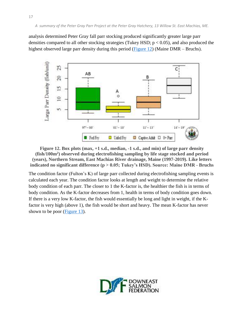analysis determined Peter Gray fall parr stocking produced significantly greater large parr densities compared to all other stocking strategies (Tukey HSD;  $p < 0.05$ ), and also produced the highest observed large parr density during this period (Figure 12) (Maine DMR – Bruchs).



**Figure 12. Box plots (max, +1 s.d., median, -1 s.d., and min) of large parr density (fish/100m<sup>2</sup> ) observed during electrofishing sampling by life stage stocked and period (years), Northern Stream, East Machias River drainage, Maine (1997-2019). Like letters indicated no significant difference (p > 0.05; Tukey's HSD). Source: Maine DMR - Bruchs** 

The condition factor (Fulton's K) of large parr collected during electrofishing sampling events is calculated each year. The condition factor looks at length and weight to determine the relative body condition of each parr. The closer to 1 the K-factor is, the healthier the fish is in terms of body condition. As the K-factor decreases from 1, health in terms of body condition goes down. If there is a very low K-factor, the fish would essentially be long and light in weight, if the Kfactor is very high (above 1), the fish would be short and heavy. The mean K-factor has never shown to be poor (Figure 13).

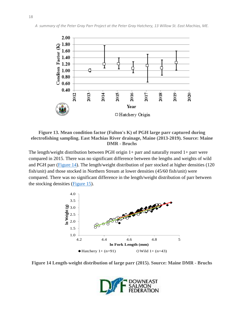



## **Figure 13. Mean condition factor (Fulton's K) of PGH large parr captured during electrofishing sampling. East Machias River drainage, Maine (2013-2019). Source: Maine DMR - Bruchs**

The length/weight distribution between PGH origin  $1+$  parr and naturally reared  $1+$  parr were compared in 2015. There was no significant difference between the lengths and weights of wild and PGH parr (Figure 14). The length/weight distribution of parr stocked at higher densities (120 fish/unit) and those stocked in Northern Stream at lower densities (45/60 fish/unit) were compared. There was no significant difference in the length/weight distribution of parr between the stocking densities (Figure 15).



**Figure 14 Length-weight distribution of large parr (2015). Source: Maine DMR - Bruchs** 

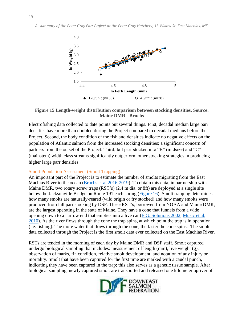

## **Figure 15 Length-weight distribution comparison between stocking densities. Source: Maine DMR - Bruchs**

Electrofishing data collected to date points out several things. First, decadal median large parr densities have more than doubled during the Project compared to decadal medians before the Project. Second, the body condition of the fish and densities indicate no negative effects on the population of Atlantic salmon from the increased stocking densities; a significant concern of partners from the outset of the Project. Third, fall parr stocked into "B" (midsize) and "C" (mainstem) width class streams significantly outperform other stocking strategies in producing higher large parr densities.

## <span id="page-19-0"></span>Smolt Population Assessment (Smolt Trapping)

An important part of the Project is to estimate the number of smolts migrating from the East Machias River to the ocean (Bruchs et al 2016-2019). To obtain this data, in partnership with Maine DMR, two rotary screw traps (RST's) (2.4 m dia. or 8ft) are deployed at a single site below the Jacksonville Bridge on Route 191 each spring (Figure 16). Smolt trapping determines how many smolts are naturally-reared (wild origin or fry stocked) and how many smolts were produced from fall parr stocking by DSF. These RST's, borrowed from NOAA and Maine DMR, are the largest operating in the state of Maine. They have a cone that funnels from a wide opening down to a narrow end that empties into a live car [\(E.G. Solutions 2002; Music et al.](#page-43-0)  [2010\)](#page-43-0). As the river flows through the cone the trap spins, at which point the trap is in operation (i.e. fishing). The more water that flows through the cone, the faster the cone spins. The smolt data collected through the Project is the first smolt data ever collected on the East Machias River.

RSTs are tended in the morning of each day by Maine DMR and DSF staff. Smolt captured undergo biological sampling that includes: measurement of length  $(\text{mm})$ , live weight  $(g)$ , observation of marks, fin condition, relative smolt development, and notation of any injury or mortality. Smolt that have been captured for the first time are marked with a caudal punch, indicating they have been captured in the trap; this also serves as a genetic tissue sample. After biological sampling, newly captured smolt are transported and released one kilometer upriver of

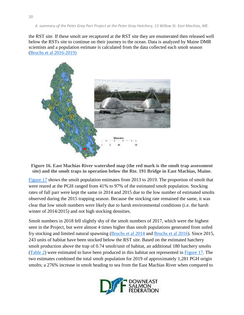the RST site. If these smolt are recaptured at the RST site they are enumerated then released well below the RSTs site to continue on their journey to the ocean. Data is analyzed by Maine DMR scientists and a population estimate is calculated from the data collected each smolt season (Bruchs et al 2016-2019)



**Figure 16. East Machias River watershed map (the red mark is the smolt trap assessment site) and the smolt traps in operation below the Rte. 191 Bridge in East Machias, Maine.** 

Figure 17 shows the smolt population estimates from 2013 to 2019. The proportion of smolt that were reared at the PGH ranged from 41% to 97% of the estimated smolt population. Stocking rates of fall parr were kept the same in 2014 and 2015 due to the low number of estimated smolts observed during the 2015 trapping season. Because the stocking rate remained the same, it was clear that low smolt numbers were likely due to harsh environmental conditions (i.e. the harsh winter of 2014/2015) and not high stocking densities.

Smolt numbers in 2018 fell slightly shy of the smolt numbers of 2017, which were the highest seen in the Project, but were almost 4 times higher than smolt populations generated from unfed fry stocking and limited natural spawning (Bruchs et al 2014 and Bruchs et al 2016). Since 2015, 243 units of habitat have been stocked below the RST site. Based on the estimated hatchery smolt production above the trap of 0.74 smolt/unit of habitat, an additional 180 hatchery smolts [\(Table 2\)](#page-21-0) were estimated to have been produced in this habitat not represented in Figure 17. The two estimates combined the total smolt population for 2019 of approximately 1,281 PGH origin smolts; a 276% increase in smolt heading to sea from the East Machias River when compared to

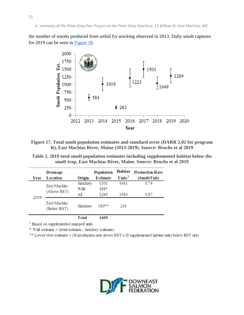the number of smolts produced from unfed fry stocking observed in 2013. Daily smolt captures for 2019 can be seen in [Figure 18](#page-21-0).



**Figure 17. Total smolt population estimates and standard error (DARR 2.02 for program R), East Machias River, Maine (2013-2019). Source: Bruchs et al 2019** 

<span id="page-21-0"></span>**Table 2. 2019 total smolt population estimates including supplemented habitat below the smolt trap, East Machias River, Maine. Source: Bruchs et al 2019** 

| Year | Drainage<br>Location        | Origin   | Population<br>Estimate | Habitat<br>Units <sup>1</sup> | <b>Production Rate</b><br>(Smolt/Unit) |
|------|-----------------------------|----------|------------------------|-------------------------------|----------------------------------------|
|      | East Machias                | Hatchery | 1101                   | 1481                          | 0.74                                   |
| 2019 | (Above RST)                 | Wild     | 188*                   |                               |                                        |
|      |                             | Аll      | 1289                   | 1584                          | 0.87                                   |
|      | East Machias<br>(Below RST) | Hatchery | 180**                  | 243                           |                                        |
|      |                             | Total    | 1469                   |                               |                                        |

<sup>1</sup> Based on supplemented mapped units

 $*$  Wild estimate = (total estimate - hatchery estimate)

\*\* Lower river estimate = (H production rate above RST x H supplemented habitat units below RST site)

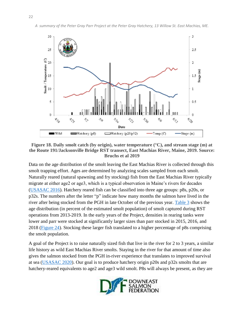



Data on the age distribution of the smolt leaving the East Machias River is collected through this smolt trapping effort. Ages are determined by analyzing scales sampled from each smolt. Naturally reared (natural spawning and fry stocking) fish from the East Machias River typically migrate at either age2 or age3, which is a typical observation in Maine's rivers for decades [\(USASAC 2016\)](#page-43-0). Hatchery reared fish can be classified into three age groups: p8s, p20s, or p32s. The numbers after the letter "p" indicate how many months the salmon have lived in the river after being stocked from the PGH in late October of the previous year. [Table 3](#page-21-0) shows the age distribution (in percent of the estimated smolt population) of smolt captured during RST operations from 2013-2019. In the early years of the Project, densities in rearing tanks were lower and parr were stocked at significantly larger sizes than parr stocked in 2015, 2016, and 2018 (Figure 24). Stocking these larger fish translated to a higher percentage of p8s comprising the smolt population.

A goal of the Project is to raise naturally sized fish that live in the river for 2 to 3 years, a similar life history as wild East Machias River smolts. Staying in the river for that amount of time also gives the salmon stocked from the PGH in-river experience that translates to improved survival at sea [\(USASAC 2020\)](#page-43-0). Our goal is to produce hatchery origin p20s and p32s smolts that are hatchery-reared equivalents to age2 and age3 wild smolt. P8s will always be present, as they are

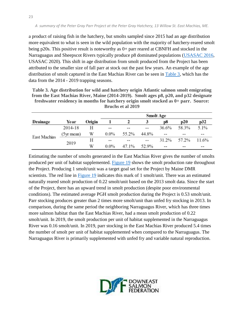a product of raising fish in the hatchery, but smolts sampled since 2015 had an age distribution more equivalent to what is seen in the wild population with the majority of hatchery-reared smolt being p20s. This positive result is noteworthy as 0+ parr reared at CBNFH and stocked in the Narraguagus and Sheepscot Rivers typically produce p8 dominated populations [\(USASAC 2016,](#page-43-0) USASAC 2020). This shift in age distribution from smolt produced from the Project has been attributed to the smaller size of fall parr at stock out the past few years. An example of the age distribution of smolt captured in the East Machias River can be seen in [Table 3,](#page-25-1) which has the data from the 2014 - 2019 trapping seasons.

**Table 3. Age distribution for wild and hatchery origin Atlantic salmon smolt emigrating from the East Machias River, Maine (2014-2019). Smolt ages p8, p20, and p32 designate freshwater residency in months for hatchery origin smolt stocked as 0+ parr. Source: Bruchs et al 2019** 

| Drainage     | Year       | Origin |               |            |            | p8         | p20   | p32   |
|--------------|------------|--------|---------------|------------|------------|------------|-------|-------|
| East Machias | 2014-18    | Н      | $- -$         |            | $-1$       | 36.6%      | 58.3% | 5.1%  |
|              | (5yr mean) | W      | $0.0\%$       | 55.2%      | 44.8%      | $\sim$ $-$ |       | --    |
|              | 2019       | Н      | $\sim$ $\sim$ | $\sim$ $-$ | $\sim$ $-$ | 31.2%      | 57.2% | 11.6% |
|              |            | W      | $0.0\%$       | 47.1%      | 52.9%      | $- -$      | --    | --    |

Estimating the number of smolts generated in the East Machias River gives the number of smolts produced per unit of habitat supplemented. [Figure 19](#page-24-0) shows the smolt production rate throughout the Project. Producing 1 smolt/unit was a target goal set for the Project by Maine DMR scientists. The red line in [Figure 19](#page-24-0) indicates this mark of 1 smolt/unit. There was an estimated naturally reared smolt production of 0.22 smolt/unit based on the 2013 smolt data. Since the start of the Project, there has an upward trend in smolt production (despite poor environmental conditions). The estimated average PGH smolt production during the Project is 0.53 smolt/unit. Parr stocking produces greater than 2 times more smolt/unit than unfed fry stocking in 2013. In comparison, during the same period the neighboring Narraguagus River, which has three times more salmon habitat than the East Machias River, had a mean smolt production of 0.22 smolt/unit. In 2019, the smolt production per unit of habitat supplemented in the Narraguagus River was 0.16 smolt/unit. In 2019, parr stocking in the East Machias River produced 5.4 times the number of smolt per unit of habitat supplemented when compared to the Narraguagus. The Narraguagus River is primarily supplemented with unfed fry and variable natural reproduction.

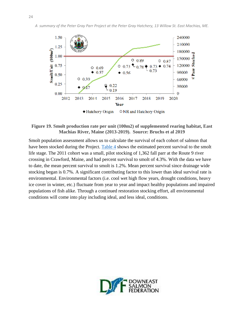

## <span id="page-24-0"></span>**Figure 19. Smolt production rate per unit (100m2) of supplemented rearing habitat, East Machias River, Maine (2013-2019). Source: Bruchs et al 2019**

Smolt population assessment allows us to calculate the survival of each cohort of salmon that have been stocked during the Project. [Table 4](#page-25-1) shows the estimated percent survival to the smolt life stage. The 2011 cohort was a small, pilot stocking of 1,362 fall parr at the Route 9 river crossing in Crawford, Maine, and had percent survival to smolt of 4.3%. With the data we have to date, the mean percent survival to smolt is 1.2%. Mean percent survival since drainage wide stocking began is 0.7%. A significant contributing factor to this lower than ideal survival rate is environmental. Environmental factors (i.e. cool wet high flow years, drought conditions, heavy ice cover in winter, etc.) fluctuate from year to year and impact healthy populations and impaired populations of fish alike. Through a continued restoration stocking effort, all environmental conditions will come into play including ideal, and less ideal, conditions.

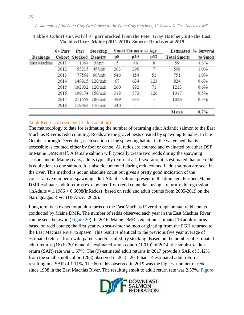|              | 0+ Parr | Parr    | Stocking        | <b>Smolt Estimate at Age</b> |     |                | Estimated % Survival |          |
|--------------|---------|---------|-----------------|------------------------------|-----|----------------|----------------------|----------|
| Drainage     | Cohort  | Stocked | Density         | р8                           | p20 | p32            | <b>Total Smolts</b>  | to Smolt |
| East Machias | 2011    | 1364    | 5/unit          | 5                            | 46  | 8              | 59                   | 4.3%     |
|              | 2012    | 53215   | 45/unit         | 203                          | 298 | 7              | 508                  | 1.0%     |
|              | 2013    | 77568   | 90/unit         | 546                          | 154 | 51             | 751                  | 1.0%     |
|              | 2014    |         | 149815 120/unit | 67                           | 634 | 123            | 824                  | 0.6%     |
|              | 2015    |         | 192032 120/unit | 260                          | 882 | 71             | 1213                 | 0.6%     |
|              | 2016    |         | 198174 150/unit | 318                          | 573 | 126            | 1017                 | 0.5%     |
|              | 2017    | 211559  | 180/unit        | 399                          | 635 | $\blacksquare$ | 1026                 | 0.5%     |
|              | 2018    |         | 119465 150/unit | 340                          | ۰   | ۰              | ۰                    | ۰        |
|              |         |         |                 |                              |     |                | M ean                | $0.7\%$  |

<span id="page-25-1"></span>**Table 4 Cohort survival of 0+ parr stocked from the Peter Gray Hatchery into the East Machias River, Maine (2011-2018). Source: Bruchs et al 2019** 

## <span id="page-25-0"></span>Adult Return Assessment (Redd Counting)

The methodology to date for estimating the number of returning adult Atlantic salmon to the East Machias River is redd counting. Redds are the gravel nests created by spawning females. In late October through December, each section of the spawning habitat in the watershed that is accessible is counted either by foot or canoe. All redds are counted and evaluated by either DSF or Maine DMR staff. A female salmon will typically create two redds during the spawning season, and in Maine rivers, adults typically return at a 1:1 sex ratio, it is estimated that one redd is equivalent to one salmon. It is also documented during redd counts if adult salmon are seen in the river. This method is not an absolute count but gives a pretty good indication of the conservative number of spawning adult Atlantic salmon present in the drainage. Further, Maine DMR estimates adult returns extrapolated from redd count data using a return-redd regression  $\text{InAdults} = 1.1986 + 0.6098(\text{InRedds})$  based on redd and adult counts from 2005-2019 on the Narraguagus River (USASAC 2020).

Long term data exists for adult returns on the East Machias River through annual redd counts conducted by Maine DMR. The number of redds observed each year in the East Machias River can be seen below in (Figure 20). In 2016, Maine DMR's equation estimated 16 adult returns based on redd counts; the first year two sea-winter salmon originating from the PGH returned to the East Machias River to spawn. This result is identical to the previous five year average of estimated returns from wild parents and/or unfed fry stocking. Based on the number of estimated adult returns (16) in 2016 and the estimated smolt cohort (1,019) of 2014, the smolt-to-adult return (SAR) rate was 1.57%. The (9) estimated adult returns in 2017 provide a SAR of 3.42% from the small smolt cohort (263) observed in 2015. 2018 had 14 estimated adult returns resulting in a SAR of 1.11%. The 60 redds observed in 2019 was the highest number of redds since 1998 in the East Machias River. The resulting smolt to adult return rate was 2.37%. Figure

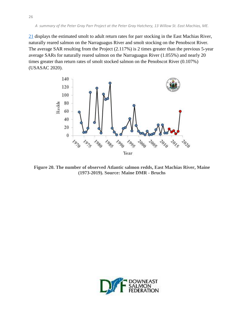21 displays the estimated smolt to adult return rates for parr stocking in the East Machias River, naturally reared salmon on the Narraguagus River and smolt stocking on the Penobscot River. The average SAR resulting from the Project (2.117%) is 2 times greater than the previous 5-year average SARs for naturally reared salmon on the Narraguagus River (1.055%) and nearly 20 times greater than return rates of smolt stocked salmon on the Penobscot River (0.107%) (USASAC 2020).



**Figure 20. The number of observed Atlantic salmon redds, East Machias River, Maine (1973-2019). Source: Maine DMR - Bruchs** 

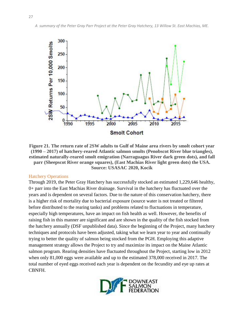

**Figure 21. The return rate of 2SW adults to Gulf of Maine area rivers by smolt cohort year (1990 – 2017) of hatchery-reared Atlantic salmon smolts (Penobscot River blue triangles), estimated naturally-reared smolt emigration (Narraguagus River dark green dots), and fall parr (Sheepscot River orange squares), (East Machias River light green dots) the USA. Source: USASAC 2020, Kocik** 

#### <span id="page-27-0"></span>Hatchery Operations

Through 2019, the Peter Gray Hatchery has successfully stocked an estimated 1,229,646 healthy, 0+ parr into the East Machias River drainage. Survival in the hatchery has fluctuated over the years and is dependent on several factors. Due to the nature of this conservation hatchery, there is a higher risk of mortality due to bacterial exposure (source water is not treated or filtered before distributed to the rearing tanks) and problems related to fluctuations in temperature, especially high temperatures, have an impact on fish health as well. However, the benefits of raising fish in this manner are significant and are shown in the quality of the fish stocked from the hatchery annually (DSF unpublished data). Since the beginning of the Project, many hatchery techniques and protocols have been adjusted, taking what we learn year to year and continually trying to better the quality of salmon being stocked from the PGH. Employing this adaptive management strategy allows the Project to try and maximize its impact on the Maine Atlantic salmon program. Rearing densities have fluctuated throughout the Project, starting low in 2012 when only 81,000 eggs were available and up to the estimated 378,000 received in 2017. The total number of eyed eggs received each year is dependent on the fecundity and eye up rates at CBNFH.

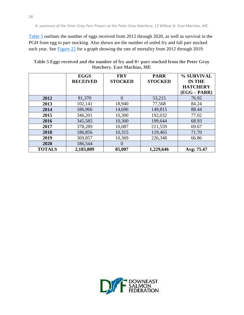[Table 5](#page-28-0) outlines the number of eggs received from 2012 through 2020, as well as survival in the PGH from egg to parr stocking. Also shown are the number of unfed fry and fall parr stocked each year. See Figure 22 for a graph showing the rate of mortality from 2012 through 2019.

<span id="page-28-0"></span>

| Table 5 Eggs received and the number of fry and 0+ parr stocked from the Peter Gray |
|-------------------------------------------------------------------------------------|
| <b>Hatchery. East Machias, ME</b>                                                   |

|               | <b>EGGS</b><br><b>RECEIVED</b> | <b>FRY</b><br><b>STOCKED</b> | <b>PARR</b><br><b>STOCKED</b> | % SURVIVAL<br><b>IN THE</b><br><b>HATCHERY</b><br>$(EGG - PARR)$ |
|---------------|--------------------------------|------------------------------|-------------------------------|------------------------------------------------------------------|
| 2012          | 81,370                         | $\Omega$                     | 53,215                        | 76.92                                                            |
| 2013          | 102,141                        | 18,940                       | 77,568                        | 84.24                                                            |
| 2014          | 186,966                        | 14,696                       | 149,815                       | 88.44                                                            |
| 2015          | 346,201                        | 10,300                       | 192,032                       | 77.02                                                            |
| 2016          | 345,585                        | 10,300                       | 199,644                       | 68.93                                                            |
| 2017          | 378,289                        | 10,087                       | 211,559                       | 69.67                                                            |
| 2018          | 186,856                        | 10,315                       | 119,465                       | 71.70                                                            |
| 2019          | 369,857                        | 10,369                       | 226,348                       | 66.86                                                            |
| 2020          | 186,544                        | $\theta$                     |                               |                                                                  |
| <b>TOTALS</b> | 2,183,809                      | 85,007                       | 1,229,646                     | Avg: 75.47                                                       |

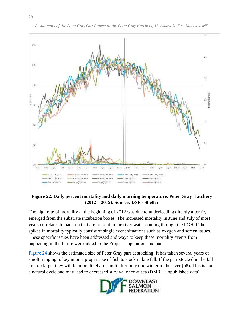

*A summary of the Peter Gray Parr Project at the Peter Gray Hatchery, 13 Willow St. East Machias, ME.* 

**Figure 22. Daily percent mortality and daily morning temperature, Peter Gray Hatchery (2012 – 2019). Source: DSF - Sheller**

The high rate of mortality at the beginning of 2012 was due to underfeeding directly after fry emerged from the substrate incubation boxes. The increased mortality in June and July of most years correlates to bacteria that are present in the river water coming through the PGH. Other spikes in mortality typically consist of single event situations such as oxygen and screen issues. These specific issues have been addressed and ways to keep these mortality events from happening in the future were added to the Project's operations manual.

[Figure 24](#page-32-0) shows the estimated size of Peter Gray parr at stocking. It has taken several years of smolt trapping to key in on a proper size of fish to stock in late fall. If the parr stocked in the fall are too large, they will be more likely to smolt after only one winter in the river (p8). This is not a natural cycle and may lead to decreased survival once at sea (DMR – unpublished data).

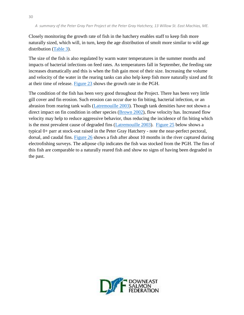Closely monitoring the growth rate of fish in the hatchery enables staff to keep fish more naturally sized, which will, in turn, keep the age distribution of smolt more similar to wild age distribution [\(Table 3](#page-21-0)).

The size of the fish is also regulated by warm water temperatures in the summer months and impacts of bacterial infections on feed rates. As temperatures fall in September, the feeding rate increases dramatically and this is when the fish gain most of their size. Increasing the volume and velocity of the water in the rearing tanks can also help keep fish more naturally sized and fit at their time of release. [Figure 23](#page-32-0) shows the growth rate in the PGH.

The condition of the fish has been very good throughout the Project. There has been very little gill cover and fin erosion. Such erosion can occur due to fin biting, bacterial infection, or an abrasion from rearing tank walls [\(Latremouille 2003\)](#page-44-1). Though tank densities have not shown a direct impact on fin condition in other species [\(Brown 2002\)](#page-43-2), flow velocity has. Increased flow velocity may help to reduce aggressive behavior, thus reducing the incidence of fin biting which is the most prevalent cause of degraded fins [\(Latremouille 2003\)](#page-44-1). [Figure 25](#page-33-0) below shows a typical 0+ parr at stock-out raised in the Peter Gray Hatchery - note the near-perfect pectoral, dorsal, and caudal fins. [Figure 26](#page-33-1) shows a fish after about 10 months in the river captured during electrofishing surveys. The adipose clip indicates the fish was stocked from the PGH. The fins of this fish are comparable to a naturally reared fish and show no signs of having been degraded in the past.

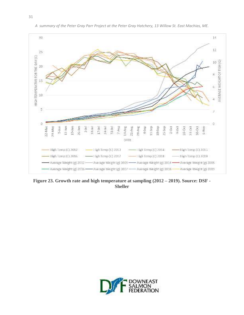

*A summary of the Peter Gray Parr Project at the Peter Gray Hatchery, 13 Willow St. East Machias, ME.* 

Figure 23. Growth rate and high temperature at sampling (2012 - 2019). Source: DSF -**Sheller** 

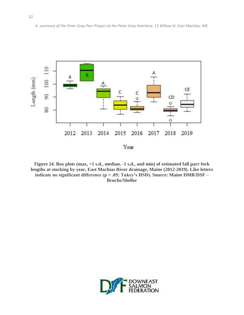

<span id="page-32-0"></span>**Figure 24. Box plots (max, +1 s.d., median, -1 s.d., and min) of estimated fall parr fork lengths at stocking by year, East Machias River drainage, Maine (2012-2019). Like letters indicate no significant difference (p > .05; Tukey's HSD). Source: Maine DMR/DSF – Bruchs/Sheller** 

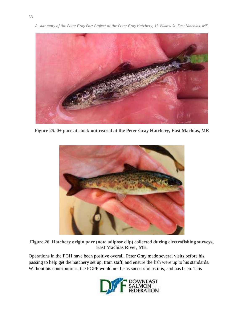



**Figure 25. 0+ parr at stock-out reared at the Peter Gray Hatchery, East Machias, ME** 

<span id="page-33-0"></span>

**Figure 26. Hatchery origin parr (note adipose clip) collected during electrofishing surveys, East Machias River, ME.**

Operations in the PGH have been positive overall. Peter Gray made several visits before his passing to help get the hatchery set up, train staff, and ensure the fish were up to his standards. Without his contributions, the PGPP would not be as successful as it is, and has been. This

<span id="page-33-1"></span>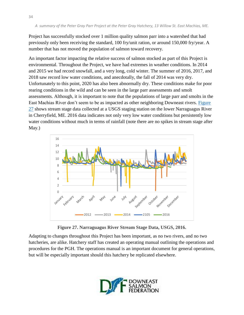Project has successfully stocked over 1 million quality salmon parr into a watershed that had previously only been receiving the standard, 100 fry/unit ration, or around 150,000 fry/year. A number that has not moved the population of salmon toward recovery.

An important factor impacting the relative success of salmon stocked as part of this Project is environmental. Throughout the Project, we have had extremes in weather conditions. In 2014 and 2015 we had record snowfall, and a very long, cold winter. The summer of 2016, 2017, and 2018 saw record low water conditions, and anecdotally, the fall of 2014 was very dry. Unfortunately to this point, 2020 has also been abnormally dry. These conditions make for poor rearing conditions in the wild and can be seen in the large parr assessments and smolt assessments. Although, it is important to note that the populations of large parr and smolts in the East Machias River don't seem to be as impacted as other neighboring Downeast rivers. [Figure](#page-34-0)  [27](#page-34-0) shows stream stage data collected at a USGS staging station on the lower Narraguagus River in Cherryfield, ME. 2016 data indicates not only very low water conditions but persistently low water conditions without much in terms of rainfall (note there are no spikes in stream stage after May.)



<span id="page-34-0"></span>**Figure 27. Narraguagus River Stream Stage Data, USGS, 2016.** 

Adapting to changes throughout this Project has been important, as no two rivers, and no two hatcheries, are alike. Hatchery staff has created an operating manual outlining the operations and procedures for the PGH. The operations manual is an important document for general operations, but will be especially important should this hatchery be replicated elsewhere.

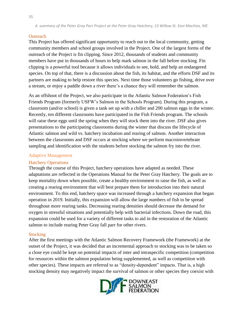#### <span id="page-35-0"></span>**Outreach**

This Project has offered significant opportunity to reach out to the local community, getting community members and school groups involved in the Project. One of the largest forms of the outreach of the Project is fin clipping. Since 2012, thousands of students and community members have put in thousands of hours to help mark salmon in the fall before stocking. Fin clipping is a powerful tool because it allows individuals to see, hold, and help an endangered species. On top of that, there is a discussion about the fish, its habitat, and the efforts DSF and its partners are making to help restore this species. Next time those volunteers go fishing, drive over a stream, or enjoy a paddle down a river there's a chance they will remember the salmon.

As an offshoot of the Project, we also participate in the Atlantic Salmon Federation's Fish Friends Program (formerly USFW's Salmon in the Schools Program). During this program, a classroom (and/or school) is given a tank set up with a chiller and 200 salmon eggs in the winter. Recently, ten different classrooms have participated in the Fish Friends program. The schools will raise these eggs until the spring when they will stock them into the river. DSF also gives presentations to the participating classrooms during the winter that discuss the lifecycle of Atlantic salmon and wild vs. hatchery incubation and rearing of salmon. Another interaction between the classrooms and DSF occurs at stocking where we perform macroinvertebrate sampling and identification with the students before stocking the salmon fry into the river.

#### <span id="page-35-1"></span>Adaptive Management

#### <span id="page-35-2"></span>Hatchery Operations

Through the course of this Project, hatchery operations have adapted as needed. These adaptations are reflected in the Operations Manual for the Peter Gray Hatchery. The goals are to keep mortality down when possible, create a healthy environment to raise the fish, as well as creating a rearing environment that will best prepare them for introduction into their natural environment. To this end, hatchery space was increased through a hatchery expansion that began operation in 2019. Initially, this expansion will allow the large numbers of fish to be spread throughout more rearing tanks. Decreasing rearing densities should decrease the demand for oxygen in stressful situations and potentially help with bacterial infections. Down the road, this expansion could be used for a variety of different tasks to aid in the restoration of the Atlantic salmon to include rearing Peter Gray fall parr for other rivers.

#### <span id="page-35-3"></span>**Stocking**

After the first meetings with the Atlantic Salmon Recovery Framework (the Framework) at the outset of the Project, it was decided that an incremental approach to stocking was to be taken so a close eye could be kept on potential impacts of inter and intraspecific competition (competition for resources within the salmon population being supplemented, as well as competition with other species). These impacts are referred to as "density-dependent" impacts. That is, a high stocking density may negatively impact the survival of salmon or other species they coexist with

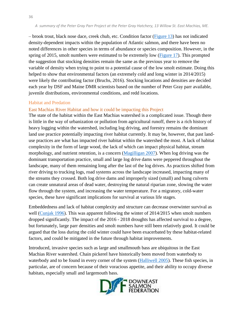– brook trout, black nose dace, creek chub, etc. Condition factor (Figure 13) has not indicated density-dependent impacts within the population of Atlantic salmon, and there have been no noted differences in other species in terms of abundance or species composition. However, in the spring of 2015, smolt numbers were estimated to be extremely low (Figure 17). This prompted the suggestion that stocking densities remain the same as the previous year to remove the variable of density when trying to point to a potential cause of the low smolt estimate. Doing this helped to show that environmental factors (an extremely cold and long winter in 2014/2015) were likely the contributing factor (Bruchs, 2016). Stocking locations and densities are decided each year by DSF and Maine DMR scientists based on the number of Peter Gray parr available, juvenile distributions, environmental conditions, and redd locations.

#### <span id="page-36-0"></span>Habitat and Predation

## <span id="page-36-1"></span>East Machias River Habitat and how it could be impacting this Project

The state of the habitat within the East Machias watershed is a complicated issue. Though there is little in the way of urbanization or pollution from agricultural runoff, there is a rich history of heavy logging within the watershed, including log driving, and forestry remains the dominant land use practice potentially impacting river habitat currently. It may be, however, that past landuse practices are what has impacted river habitat within the watershed the most. A lack of habitat complexity in the form of large wood, the lack of which can impact physical habitat, stream morphology, and nutrient retention, is a concern [\(Magilligan 2007\)](#page-44-2). When log driving was the dominant transportation practice, small and large log drive dams were peppered throughout the landscape, many of them remaining long after the last of the log drives. As practices shifted from river driving to trucking logs, road systems across the landscape increased, impacting many of the streams they crossed. Both log drive dams and improperly sized (small) and hung culverts can create unnatural areas of dead water, destroying the natural riparian zone, slowing the water flow through the system, and increasing the water temperature. For a migratory, cold-water species, these have significant implications for survival at various life stages.

Embeddedness and lack of habitat complexity and structure can decrease overwinter survival as well [\(Cunjak 1996\)](#page-43-3). This was apparent following the winter of 2014/2015 when smolt numbers dropped significantly. The impact of the 2016 - 2018 droughts has affected survival to a degree, but fortunately, large parr densities and smolt numbers have still been relatively good. It could be argued that the loss during the cold winter could have been exacerbated by these habitat-related factors, and could be mitigated in the future through habitat improvements.

Introduced, invasive species such as large and smallmouth bass are ubiquitous in the East Machias River watershed. Chain pickerel have historically been moved from waterbody to waterbody and to be found in every corner of the system [\(Halliwell 2005\)](#page-43-4). These fish species, in particular, are of concern because of their voracious appetite, and their ability to occupy diverse habitats, especially small and largemouth bass.

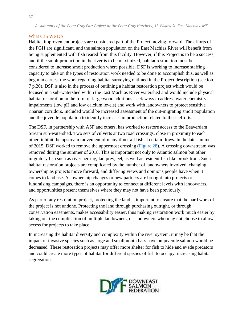## <span id="page-37-0"></span>What Can We Do

Habitat improvement projects are considered part of the Project moving forward. The efforts of the PGH are significant, and the salmon population on the East Machias River will benefit from being supplemented with fish reared from this facility. However, if this Project is to be a success, and if the smolt production in the river is to be maximized, habitat restoration must be considered to increase smolt production where possible. DSF is working to increase staffing capacity to take on the types of restoration work needed to be done to accomplish this, as well as begin in earnest the work regarding habitat surveying outlined in the Project description (section 7 p.20). DSF is also in the process of outlining a habitat restoration project which would be focused in a sub-watershed within the East Machias River watershed and would include physical habitat restoration in the form of large wood additions, seek ways to address water chemistry impairments (low pH and low calcium levels) and work with landowners to protect sensitive riparian corridors. Included would be increased assessment of the out-migrating smolt population and the juvenile population to identify increases in production related to these efforts.

The DSF, in partnership with ASF and others, has worked to restore access to the Beaverdam Stream sub-watershed. Two sets of culverts at two road crossings, close in proximity to each other, inhibit the upstream movement of many if not all fish at certain flows. In the late summer of 2015, DSF worked to remove the uppermost crossing [\(Figure 28](#page-38-1)). A crossing downstream was removed during the summer of 2018. This is important not only to Atlantic salmon but other migratory fish such as river herring, lamprey, eel, as well as resident fish like brook trout. Such habitat restoration projects are complicated by the number of landowners involved, changing ownership as projects move forward, and differing views and opinions people have when it comes to land use. As ownership changes or new partners are brought into projects or fundraising campaigns, there is an opportunity to connect at different levels with landowners, and opportunities present themselves where they may not have been previously.

As part of any restoration project, protecting the land is important to ensure that the hard work of the project is not undone. Protecting the land through purchasing outright, or through conservation easements, makes accessibility easier, thus making restoration work much easier by taking out the complication of multiple landowners, or landowners who may not choose to allow access for projects to take place.

In increasing the habitat diversity and complexity within the river system, it may be that the impact of invasive species such as large and smallmouth bass have on juvenile salmon would be decreased. These restoration projects may offer more shelter for fish to hide and evade predators and could create more types of habitat for different species of fish to occupy, increasing habitat segregation.

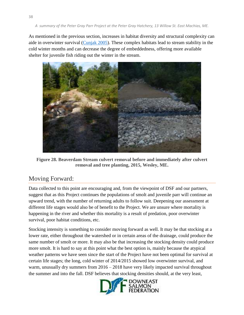As mentioned in the previous section, increases in habitat diversity and structural complexity can aide in overwinter survival [\(Cunjak 2005\)](#page-43-3). These complex habitats lead to stream stability in the cold winter months and can decrease the degree of embeddedness, offering more available shelter for juvenile fish riding out the winter in the stream.



**Figure 28. Beaverdam Stream culvert removal before and immediately after culvert removal and tree planting, 2015, Wesley, ME.** 

# <span id="page-38-1"></span><span id="page-38-0"></span>Moving Forward:

Data collected to this point are encouraging and, from the viewpoint of DSF and our partners, suggest that as this Project continues the populations of smolt and juvenile parr will continue an upward trend, with the number of returning adults to follow suit. Deepening our assessment at different life stages would also be of benefit to the Project. We are unsure where mortality is happening in the river and whether this mortality is a result of predation, poor overwinter survival, poor habitat conditions, etc.

Stocking intensity is something to consider moving forward as well. It may be that stocking at a lower rate, either throughout the watershed or in certain areas of the drainage, could produce the same number of smolt or more. It may also be that increasing the stocking density could produce more smolt. It is hard to say at this point what the best option is, mainly because the atypical weather patterns we have seen since the start of the Project have not been optimal for survival at certain life stages; the long, cold winter of 2014/2015 showed low overwinter survival, and warm, unusually dry summers from 2016 – 2018 have very likely impacted survival throughout the summer and into the fall. DSF believes that stocking densities should, at the very least,

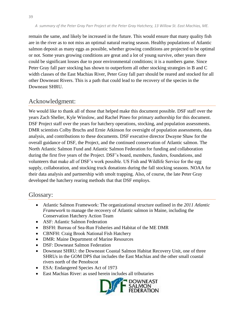remain the same, and likely be increased in the future. This would ensure that many quality fish are in the river as to not miss an optimal natural rearing season. Healthy populations of Atlantic salmon deposit as many eggs as possible, whether growing conditions are projected to be optimal or not. Some years growing conditions are great and a lot of young survive, other years there could be significant losses due to poor environmental conditions; it is a numbers game. Since Peter Gray fall parr stocking has shown to outperform all other stocking strategies in B and C width classes of the East Machias River, Peter Gray fall parr should be reared and stocked for all other Downeast Rivers. This is a path that could lead to the recovery of the species in the Downeast SHRU.

# <span id="page-39-0"></span>Acknowledgment:

We would like to thank all of those that helped make this document possible. DSF staff over the years Zach Sheller, Kyle Winslow, and Rachel Pineo for primary authorship for this document. DSF Project staff over the years for hatchery operations, stocking, and population assessments. DMR scientists Colby Bruchs and Ernie Atkinson for oversight of population assessments, data analysis, and contributions to these documents. DSF executive director Dwayne Shaw for the overall guidance of DSF, the Project, and the continued conservation of Atlantic salmon. The North Atlantic Salmon Fund and Atlantic Salmon Federation for funding and collaboration during the first five years of the Project. DSF's board, members, funders, foundations, and volunteers that make all of DSF's work possible. US Fish and Wildlife Service for the egg supply, collaboration, and stocking truck donations during the fall stocking seasons. NOAA for their data analysis and partnership with smolt trapping. Also, of course, the late Peter Gray developed the hatchery rearing methods that that DSF employs.

# <span id="page-39-1"></span>Glossary:

- Atlantic Salmon Framework: The organizational structure outlined in the *2011 Atlantic Framework* to manage the recovery of Atlantic salmon in Maine, including the Conservation Hatchery Action Team
- ASF: Atlantic Salmon Federation
- BSFH: Bureau of Sea-Run Fisheries and Habitat of the ME DMR
- CBNFH: Craig Brook National Fish Hatchery
- DMR: Maine Department of Marine Resources
- DSF: Downeast Salmon Federation
- Downeast SHRU: the Downeast Coastal Salmon Habitat Recovery Unit, one of three SHRUs in the GOM DPS that includes the East Machias and the other small coastal rivers north of the Penobscot
- ESA: Endangered Species Act of 1973
- East Machias River: as used herein includes all tributaries

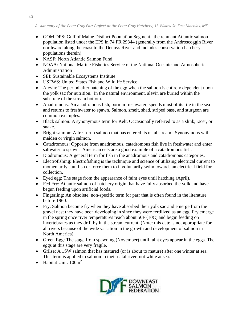- GOM DPS: Gulf of Maine Distinct Population Segment, the remnant Atlantic salmon population listed under the EPS in 74 FR 29344 (generally from the Androscoggin River northward along the coast to the Dennys River and includes conservation hatchery populations therein)
- NASF: North Atlantic Salmon Fund
- NOAA: National Marine Fisheries Service of the National Oceanic and Atmospheric Administration
- SEI: Sustainable Ecosystems Institute
- USFWS: United States Fish and Wildlife Service
- Alevin: The period after hatching of the egg when the salmon is entirely dependent upon the yolk sac for nutrition. In the natural environment, alevin are buried within the substrate of the stream bottom.
- Anadromous: An anadromous fish, born in freshwater, spends most of its life in the sea and returns to freshwater to spawn. Salmon, smelt, shad, striped bass, and sturgeon are common examples.
- Black salmon: A synonymous term for Kelt. Occasionally referred to as a slink, racer, or snake.
- Bright salmon: A fresh-run salmon that has entered its natal stream. Synonymous with maiden or virgin salmon.
- Catadromous: Opposite from anadromous, catadromous fish live in freshwater and enter saltwater to spawn. American eels are a good example of a catadromous fish.
- Diadromous: A general term for fish in the anadromous and catadromous categories.
- Electrofishing: Electrofishing is the technique and science of utilizing electrical current to momentarily stun fish or force them to involuntarily swim towards an electrical field for collection.
- Eyed egg: The stage from the appearance of faint eyes until hatching (April).
- Fed Fry: Atlantic salmon of hatchery origin that have fully absorbed the yolk and have begun feeding upon artificial foods.
- Fingerling: An obsolete, non-specific term for parr that is often found in the literature before 1960.
- Fry: Salmon become fry when they have absorbed their yolk sac and emerge from the gravel nest they have been developing in since they were fertilized as an egg. Fry emerge in the spring once river temperatures reach about 50F (10C) and begin feeding on invertebrates as they drift by in the stream current. (Note: this date is not appropriate for all rivers because of the wide variation in the growth and development of salmon in North America).
- Green Egg: The stage from spawning (November) until faint eyes appear in the eggs. The eggs at this stage are very fragile.
- Grilse: A 1SW salmon that has matured (or is about to mature) after one winter at sea. This term is applied to salmon in their natal river, not while at sea.
- Habitat Unit: 100m<sup>2</sup>

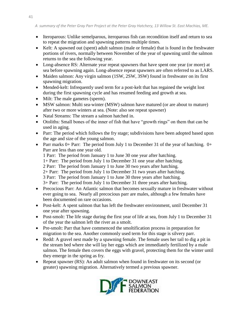- Iteroparous: Unlike semelparous, iteroparous fish can recondition itself and return to sea to repeat the migration and spawning patterns multiple times.
- Kelt: A spawned out (spent) adult salmon (male or female) that is found in the freshwater portions of rivers, normally between November of the year of spawning until the salmon returns to the sea the following year.
- Long-absence RS: Alternate year repeat spawners that have spent one year (or more) at sea before spawning again. Long-absence repeat spawners are often referred to as LARS.
- Maiden salmon: Any virgin salmon (1SW, 2SW, 3SW) found in freshwater on its first spawning migration.
- Mended-kelt: Infrequently used term for a post-kelt that has regained the weight lost during the first spawning cycle and has resumed feeding and growth at sea.
- Milt: The male gametes (sperm).
- MSW salmon: Multi sea-winter (MSW) salmon have matured (or are about to mature) after two or more winters at sea. (Note: also see repeat spawner)
- Natal Streams: The stream a salmon hatched in.
- Otoliths: Small bones of the inner of fish that have "growth rings" on them that can be used in aging.
- Parr: The period which follows the fry stage; subdivisions have been adopted based upon the age and size of the young salmon.
- Parr marks 0+ Parr: The period from July 1 to December 31 of the year of hatching.  $0+$ Parr are less than one year old.

1 Parr: The period from January 1 to June 30 one year after hatching.

- 1+ Parr: The period from July 1 to December 31 one year after hatching.
- 2 Parr: The period from January 1 to June 30 two years after hatching.
- 2+ Parr: The period from July 1 to December 31 two years after hatching.

3 Parr: The period from January 1 to June 30 three years after hatching.

3+ Parr: The period from July 1 to December 31 three years after hatching.

- Precocious Parr: An Atlantic salmon that becomes sexually mature in freshwater without ever going to sea. Nearly all precocious parr are males, although a few females have been documented on rare occasions.
- Post-kelt: A spent salmon that has left the freshwater environment, until December 31 one year after spawning.
- Post-smolt: The life stage during the first year of life at sea, from July 1 to December 31 of the year the salmon left the river as a smolt.
- Pre-smolt: Parr that have commenced the smoltification process in preparation for migration to the sea. Another commonly used term for this stage is silvery parr.
- Redd: A gravel nest made by a spawning female. The female uses her tail to dig a pit in the stream bed where she will lay her eggs which are immediately fertilized by a male salmon. The female then covers the eggs with gravel, protecting them for the winter until they emerge in the spring as fry.
- Repeat spawner (RS): An adult salmon when found in freshwater on its second (or greater) spawning migration. Alternatively termed a previous spawner.

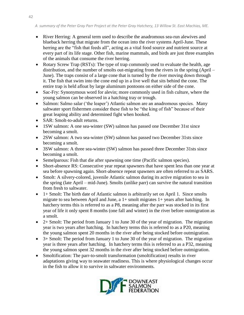- River Herring: A general term used to describe the anadromous sea-run alewives and blueback herring that migrate from the ocean into the river systems April-June. These herring are the "fish that feeds all", acting as a vital food source and nutrient source at every part of its life stage. Other fish, marine mammals, and birds are just three examples of the animals that consume the river herring.
- Rotary Screw Trap (RSTs): The type of trap commonly used to evaluate the health, age distribution, and the number of smolts out-migrating from the rivers in the spring (April – June). The traps consist of a large cone that is turned by the river moving down through it. The fish that swim into the cone end up in a live well that sits behind the cone. The entire trap is held afloat by large aluminum pontoons on either side of the cone.
- Sac-Fry: Synonymous word for alevin; more commonly used in fish culture, where the young salmon can be observed in a hatching tray or trough.
- Salmon: Salmo salar ('the leaper') Atlantic salmon are an anadromous species. Many saltwater sport fishermen consider these fish to be "the king of fish" because of their great leaping ability and determined fight when hooked.
- SAR: Smolt-to-adult returns.
- 1SW salmon: A one sea-winter (SW) salmon has passed one December 31st since becoming a smolt.
- 2SW salmon: A two sea-winter (SW) salmon has passed two December 31sts since becoming a smolt.
- 3SW salmon: A three sea-winter (SW) salmon has passed three December 31sts since becoming a smolt.
- Semelparous: Fish that die after spawning one time (Pacific salmon species).
- Short-absence RS: Consecutive year repeat spawners that have spent less than one year at sea before spawning again. Short-absence repeat spawners are often referred to as SARS.
- Smolt: A silvery-colored, juvenile Atlantic salmon during its active migration to sea in the spring (late April – mid-June). Smolts (unlike parr) can survive the natural transition from fresh to saltwater.
- $\bullet$  1+ Smolt: The birth date of Atlantic salmon is arbitrarily set on April 1. Since smolts migrate to sea between April and June, a 1+ smolt migrates 1+ years after hatching. In hatchery terms this is referred to as a P8, meaning after the parr was stocked in its first year of life it only spent 8 months (one fall and winter) in the river before outmigration as a smolt.
- $\bullet$  2+ Smolt: The period from January 1 to June 30 of the year of migration. The migration year is two years after hatching. In hatchery terms this is referred to as a P20, meaning the young salmon spent 20 months in the river after being stocked before outmigration.
- 3+ Smolt: The period from January 1 to June 30 of the year of migration. The migration year is three years after hatching. In hatchery terms this is referred to as a P32, meaning the young salmon spent 32 months in the river after being stocked before outmigration.
- Smoltification: The parr-to-smolt transformation (smoltification) results in river adaptations giving way to seawater readiness. This is where physiological changes occur in the fish to allow it to survive in saltwater environments.

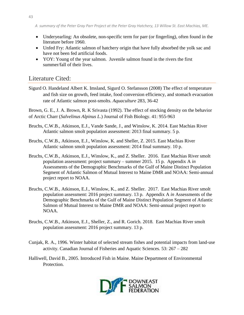- Underyearling: An obsolete, non-specific term for parr (or fingerling), often found in the literature before 1960.
- Unfed Fry: Atlantic salmon of hatchery origin that have fully absorbed the yolk sac and have not been fed artificial foods.
- YOY: Young of the year salmon. Juvenile salmon found in the rivers the first summer/fall of their lives.

# <span id="page-43-0"></span>Literature Cited:

<span id="page-43-1"></span>Sigurd O. Handeland Albert K. Imsland, Sigurd O. Stefansson (2008) The effect of temperature and fish size on growth, feed intake, food conversion efficiency, and stomach evacuation rate of Atlantic salmon post-smolts. *Aquaculture* 283, 36-42

<span id="page-43-2"></span>Brown, G. E., J. A. Brown, R. K Srivasta (1992). The effect of stocking density on the behavior of Arctic Charr (*Salvelinus Alpinus L*.) Journal of Fish Biology. 41: 955-963

- Bruchs, C.W.B., Atkinson, E.J., Vande Sande, J., and Winslow, K. 2014. East Machias River Atlantic salmon smolt population assessment: 2013 final summary. 5 p.
- Bruchs, C.W.B., Atkinson, E.J., Winslow, K. and Sheller, Z. 2015. East Machias River Atlantic salmon smolt population assessment: 2014 final summary. 10 p.
- <span id="page-43-3"></span>Bruchs, C.W.B., Atkinson, E.J., Winslow, K., and Z. Sheller. 2016. East Machias River smolt population assessment: project summary – summer 2015. 15 p. Appendix A *in* Assessments of the Demographic Benchmarks of the Gulf of Maine Distinct Population Segment of Atlantic Salmon of Mutual Interest to Maine DMR and NOAA: Semi-annual project report to NOAA.
- Bruchs, C.W.B., Atkinson, E.J., Winslow, K., and Z. Sheller. 2017. East Machias River smolt population assessment: 2016 project summary. 13 p. Appendix A *in* Assessments of the Demographic Benchmarks of the Gulf of Maine Distinct Population Segment of Atlantic Salmon of Mutual Interest to Maine DMR and NOAA: Semi-annual project report to NOAA.
- Bruchs, C.W.B., Atkinson, E.J., Sheller, Z., and R. Gorich. 2018. East Machias River smolt population assessment: 2016 project summary. 13 p.
- Cunjak, R. A., 1996. Winter habitat of selected stream fishes and potential impacts from land-use activity. Canadian Journal of Fisheries and Aquatic Sciences. 53: 267 – 282
- <span id="page-43-4"></span>Halliwell, David B., 2005. Introduced Fish in Maine. Maine Department of Environmental Protection.